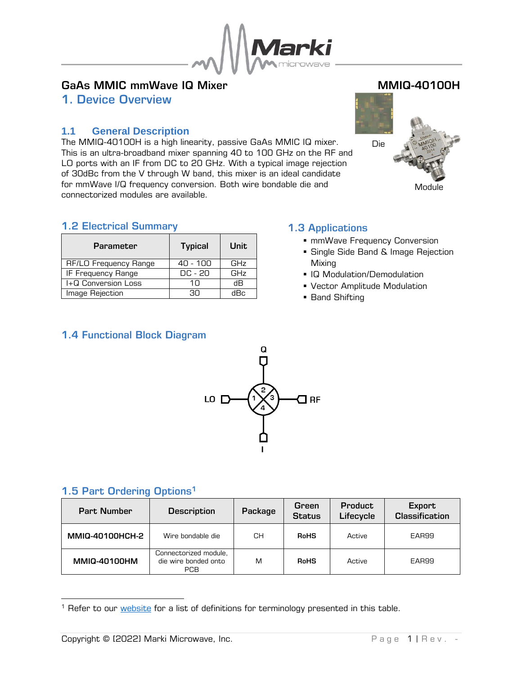

# GaAs MMIC mmWave IQ Mixer MANUS AND MMIQ-40100H

<span id="page-0-0"></span>1. Device Overview

## <span id="page-0-1"></span>**1.1 General Description**

The MMIQ-40100H is a high linearity, passive GaAs MMIC IQ mixer. This is an ultra-broadband mixer spanning 40 to 100 GHz on the RF and LO ports with an IF from DC to 20 GHz. With a typical image rejection of 30dBc from the V through W band, this mixer is an ideal candidate for mmWave I/Q frequency conversion. Both wire bondable die and connectorized modules are available.



## <span id="page-0-2"></span>1.2 Electrical Summary

| <b>Parameter</b>      | <b>Typical</b> | Unit |
|-----------------------|----------------|------|
| RF/LO Frequency Range | 40 - 100       | GHz  |
| IF Frequency Range    | DC - 20        | GHz  |
| I+Q Conversion Loss   | 1Π             | dВ   |
| Image Rejection       | חר             | dBc  |

# <span id="page-0-3"></span>1.3 Applications

- mmWave Frequency Conversion
- **E** Single Side Band & Image Rejection Mixing
- IQ Modulation/Demodulation
- Vector Amplitude Modulation
- Band Shifting

## <span id="page-0-4"></span>1.4 Functional Block Diagram



## <span id="page-0-5"></span>1.5 Part Ordering Options<sup>1</sup>

| <b>Part Number</b>  | <b>Description</b>                                          | Package | Green<br><b>Status</b> | <b>Product</b><br>Lifecycle | Export<br><b>Classification</b> |
|---------------------|-------------------------------------------------------------|---------|------------------------|-----------------------------|---------------------------------|
| MMIQ-40100HCH-2     | Wire bondable die                                           | CН      | <b>RoHS</b>            | Active                      | EAR99                           |
| <b>MMIQ-40100HM</b> | Connectorized module,<br>die wire bonded onto<br><b>PCB</b> | M       | <b>RoHS</b>            | Active                      | EAR99                           |

<sup>&</sup>lt;sup>1</sup> Refer to our [website](http://www.markimicrowave.com/Assets/appnotes/Datasheet_Product_Status_Information.pdf) for a list of definitions for terminology presented in this table.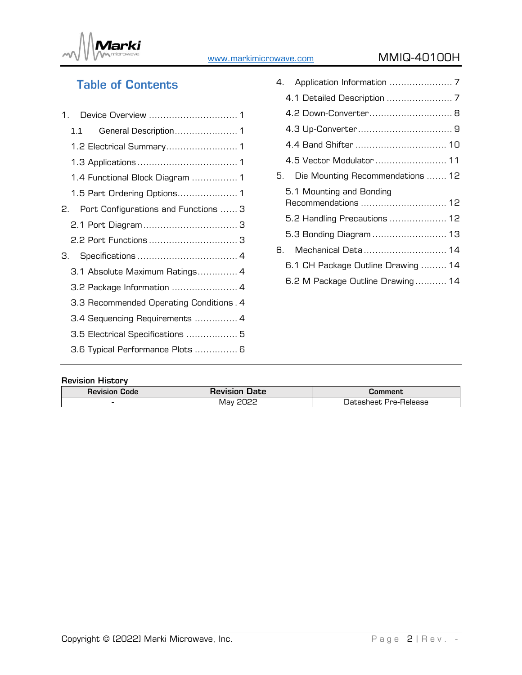

# [www.markimicrowave.com](https://www.markimicrowave.com/) MMIQ-40100H

# Table of Contents

|    | 1.1 |                                         |
|----|-----|-----------------------------------------|
|    |     |                                         |
|    |     |                                         |
|    |     | 1.4 Functional Block Diagram  1         |
|    |     |                                         |
| 2. |     | Port Configurations and Functions  3    |
|    |     |                                         |
|    |     | 2.2 Port Functions  3                   |
| З. |     |                                         |
|    |     | 3.1 Absolute Maximum Ratings 4          |
|    |     | 3.2 Package Information  4              |
|    |     | 3.3 Recommended Operating Conditions. 4 |
|    |     | 3.4 Sequencing Requirements  4          |
|    |     | 3.5 Electrical Specifications  5        |
|    |     | 3.6 Typical Performance Plots  6        |
|    |     |                                         |

|    | 4.2 Down-Converter 8                            |  |
|----|-------------------------------------------------|--|
|    |                                                 |  |
|    | 4.4 Band Shifter  10                            |  |
|    | 4.5 Vector Modulator 11                         |  |
|    | Die Mounting Recommendations  12                |  |
|    | 5.1 Mounting and Bonding<br>Recommendations  12 |  |
|    | 5.2 Handling Precautions  12                    |  |
|    | 5.3 Bonding Diagram  13                         |  |
| 6. | Mechanical Data 14                              |  |
|    | 6.1 CH Package Outline Drawing  14              |  |
|    | 6.2 M Package Outline Drawing 14                |  |
|    |                                                 |  |

#### Revision History

| <b>Revision</b><br>Code  | <b>Date</b><br><b>REVISIO</b> | Jomment                       |
|--------------------------|-------------------------------|-------------------------------|
| $\overline{\phantom{0}}$ | ההחה<br>- Mav<br>---          | -Release<br>' Jatasheet Pre-. |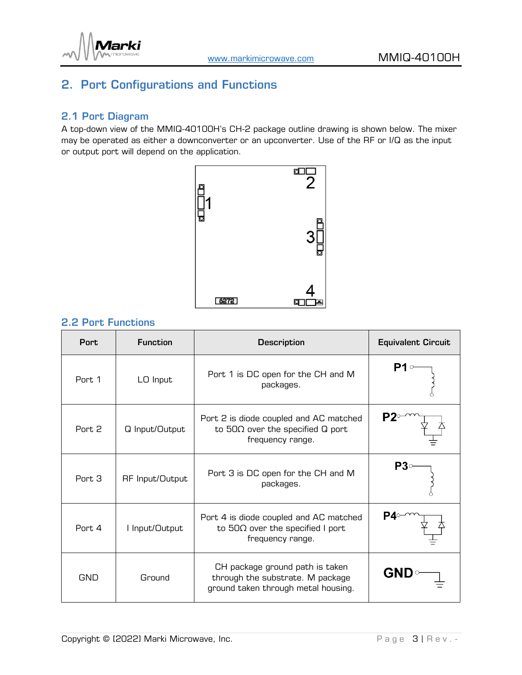

# <span id="page-2-0"></span>2. Port Configurations and Functions

#### <span id="page-2-1"></span>2.1 Port Diagram

A top-down view of the MMIQ-40100H's CH-2 package outline drawing is shown below. The mixer may be operated as either a downconverter or an upconverter. Use of the RF or I/Q as the input or output port will depend on the application.



#### <span id="page-2-2"></span>2.2 Port Functions

| <b>Port</b>       | <b>Function</b>        | <b>Description</b>                                                                                         | <b>Equivalent Circuit</b> |
|-------------------|------------------------|------------------------------------------------------------------------------------------------------------|---------------------------|
| Port. 1           | LO Input               | Port 1 is DC open for the CH and M<br>packages.                                                            |                           |
| Port. 2           | Q Input/Output         | Port 2 is diode coupled and AC matched<br>to $50\Omega$ over the specified Q port<br>frequency range.      |                           |
| Port 3            | <b>RF</b> Input/Output | Port 3 is DC open for the CH and M<br>packages.                                                            | P3∘                       |
| Port <sub>4</sub> | I Input/Output         | Port 4 is diode coupled and AC matched<br>to $50\Omega$ over the specified I port<br>frequency range.      |                           |
| <b>GND</b>        | Ground                 | CH package ground path is taken<br>through the substrate. M package<br>ground taken through metal housing. | <b>GND</b>                |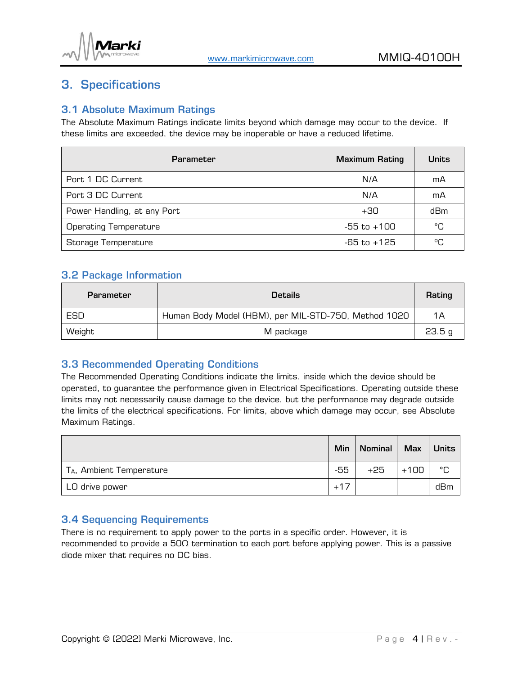

# <span id="page-3-0"></span>3. Specifications

## <span id="page-3-1"></span>3.1 Absolute Maximum Ratings

The Absolute Maximum Ratings indicate limits beyond which damage may occur to the device. If these limits are exceeded, the device may be inoperable or have a reduced lifetime.

| <b>Parameter</b>             | <b>Maximum Rating</b> | <b>Units</b> |
|------------------------------|-----------------------|--------------|
| Port 1 DC Current            | N/A                   | mA           |
| Port 3 DC Current            | N/A                   | mA           |
| Power Handling, at any Port  | $+30$                 | dBm          |
| <b>Operating Temperature</b> | -55 to +100           | °C           |
| Storage Temperature          | $-65$ to $+125$       | ሜ            |

## <span id="page-3-2"></span>3.2 Package Information

| <b>Parameter</b> | <b>Details</b>                                       | Rating |
|------------------|------------------------------------------------------|--------|
| ESD              | Human Body Model (HBM), per MIL-STD-750, Method 1020 | 1Α     |
| Weight           | M package                                            | 23.5 g |

#### <span id="page-3-3"></span>3.3 Recommended Operating Conditions

The Recommended Operating Conditions indicate the limits, inside which the device should be operated, to guarantee the performance given in Electrical Specifications. Operating outside these limits may not necessarily cause damage to the device, but the performance may degrade outside the limits of the electrical specifications. For limits, above which damage may occur, see Absolute Maximum Ratings.

|                                      | Min   | <b>Nominal</b> | <b>Max</b> | <b>Units</b> |
|--------------------------------------|-------|----------------|------------|--------------|
| T <sub>A</sub> , Ambient Temperature | $-55$ | $+25$          | $+100$     | °C           |
| LO drive power                       | $+17$ |                |            | dBm          |

#### <span id="page-3-4"></span>3.4 Sequencing Requirements

There is no requirement to apply power to the ports in a specific order. However, it is recommended to provide a 50Ω termination to each port before applying power. This is a passive diode mixer that requires no DC bias.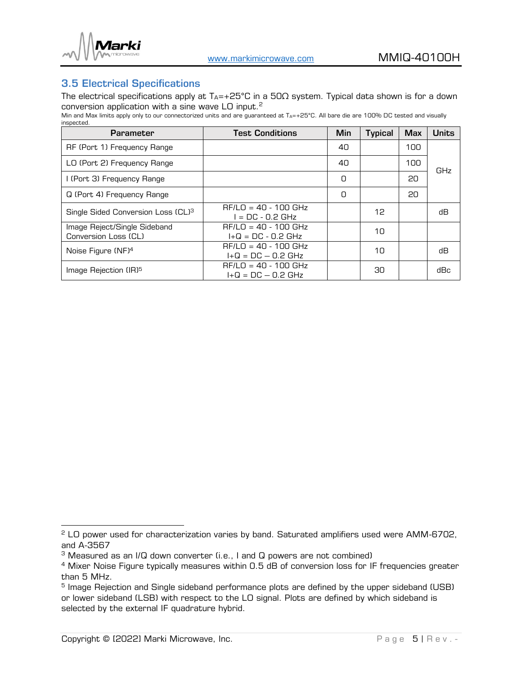

## <span id="page-4-0"></span>3.5 Electrical Specifications

The electrical specifications apply at  $T_{A}$ =+25°C in a 50 $\Omega$  system. Typical data shown is for a down conversion application with a sine wave LO input. $^2$ 

Min and Max limits apply only to our connectorized units and are guaranteed at TA=+25°C. All bare die are 100% DC tested and visually inspected.

| <b>Parameter</b>                                     | <b>Test Conditions</b>                         | Min | <b>Typical</b> | <b>Max</b> | <b>Units</b> |
|------------------------------------------------------|------------------------------------------------|-----|----------------|------------|--------------|
| RF (Port 1) Frequency Range                          |                                                | 40  |                | 100        |              |
| LO (Port 2) Frequency Range                          |                                                | 40  |                | 100        | GHz          |
| I (Port 3) Frequency Range                           |                                                | n   |                | 20         |              |
| Q (Port 4) Frequency Range                           |                                                | O   |                | 20         |              |
| Single Sided Conversion Loss (CL) <sup>3</sup>       | $RF/LO = 40 - 100$ GHz<br>$=$ DC - 0.2 GHz     |     | 12             |            | dВ           |
| Image Reject/Single Sideband<br>Conversion Loss (CL) | $RF/LO = 40 - 100$ GHz<br>$I+Q = DC - 0.2 GHz$ |     | 10             |            |              |
| Noise Figure (NF) <sup>4</sup>                       | $RF/LO = 40 - 100$ GHz<br>$I+Q = DC - 0.2 GHz$ |     | 10             |            | dВ           |
| Image Rejection (IR) <sup>5</sup>                    | $RF/LO = 40 - 100$ GHz<br>$I+Q = DC - 0.2 GHz$ |     | 30             |            | dBc          |

<sup>&</sup>lt;sup>2</sup> LO power used for characterization varies by band. Saturated amplifiers used were AMM-6702, and A-3567

<sup>&</sup>lt;sup>3</sup> Measured as an I/Q down converter (i.e., I and Q powers are not combined)

<sup>&</sup>lt;sup>4</sup> Mixer Noise Figure typically measures within 0.5 dB of conversion loss for IF frequencies greater than 5 MHz.

<sup>&</sup>lt;sup>5</sup> Image Rejection and Single sideband performance plots are defined by the upper sideband (USB) or lower sideband (LSB) with respect to the LO signal. Plots are defined by which sideband is selected by the external IF quadrature hybrid.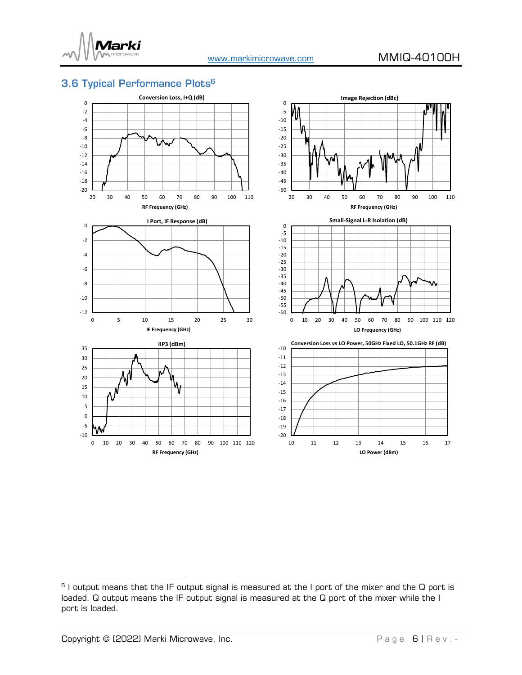

# <span id="page-5-0"></span>3.6 Typical Performance Plots 6



 $^6$  I output means that the IF output signal is measured at the I port of the mixer and the Q port is  $\,$ loaded. Q output means the IF output signal is measured at the Q port of the mixer while the I port is loaded.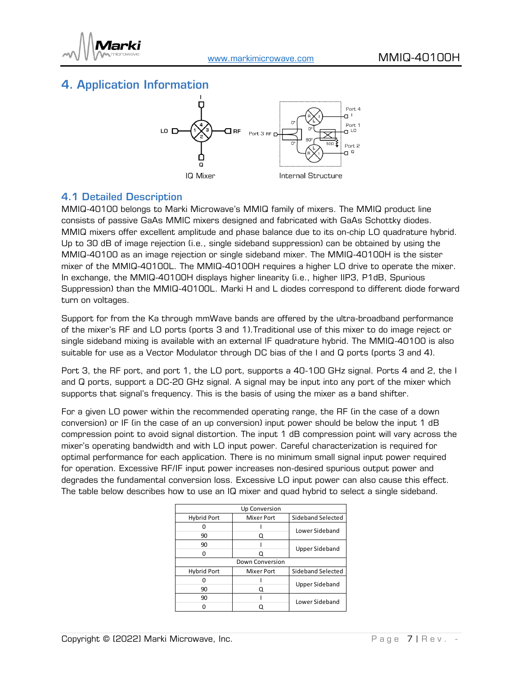

# <span id="page-6-0"></span>4. Application Information



#### <span id="page-6-1"></span>4.1 Detailed Description

MMIQ-40100 belongs to Marki Microwave's MMIQ family of mixers. The MMIQ product line consists of passive GaAs MMIC mixers designed and fabricated with GaAs Schottky diodes. MMIQ mixers offer excellent amplitude and phase balance due to its on-chip LO quadrature hybrid. Up to 30 dB of image rejection (i.e., single sideband suppression) can be obtained by using the MMIQ-40100 as an image rejection or single sideband mixer. The MMIQ-40100H is the sister mixer of the MMIQ-40100L. The MMIQ-40100H requires a higher LO drive to operate the mixer. In exchange, the MMIQ-40100H displays higher linearity (i.e., higher IIP3, P1dB, Spurious Suppression) than the MMIQ-40100L. Marki H and L diodes correspond to different diode forward turn on voltages.

Support for from the Ka through mmWave bands are offered by the ultra-broadband performance of the mixer's RF and LO ports (ports 3 and 1).Traditional use of this mixer to do image reject or single sideband mixing is available with an external IF quadrature hybrid. The MMIQ-40100 is also suitable for use as a Vector Modulator through DC bias of the I and Q ports (ports 3 and 4).

Port 3, the RF port, and port 1, the LO port, supports a 40-100 GHz signal. Ports 4 and 2, the I and Q ports, support a DC-20 GHz signal. A signal may be input into any port of the mixer which supports that signal's frequency. This is the basis of using the mixer as a band shifter.

For a given LO power within the recommended operating range, the RF (in the case of a down conversion) or IF (in the case of an up conversion) input power should be below the input 1 dB compression point to avoid signal distortion. The input 1 dB compression point will vary across the mixer's operating bandwidth and with LO input power. Careful characterization is required for optimal performance for each application. There is no minimum small signal input power required for operation. Excessive RF/IF input power increases non-desired spurious output power and degrades the fundamental conversion loss. Excessive LO input power can also cause this effect. The table below describes how to use an IQ mixer and quad hybrid to select a single sideband.

|                    | <b>Up Conversion</b> |                       |
|--------------------|----------------------|-----------------------|
| <b>Hybrid Port</b> | <b>Mixer Port</b>    | Sideband Selected     |
|                    |                      | Lower Sideband        |
| 90                 | Q                    |                       |
| 90                 |                      | <b>Upper Sideband</b> |
| 0                  |                      |                       |
| Down Conversion    |                      |                       |
| <b>Hybrid Port</b> | <b>Mixer Port</b>    | Sideband Selected     |
|                    |                      | <b>Upper Sideband</b> |
| 90                 | Q                    |                       |
| 90                 |                      | Lower Sideband        |
|                    |                      |                       |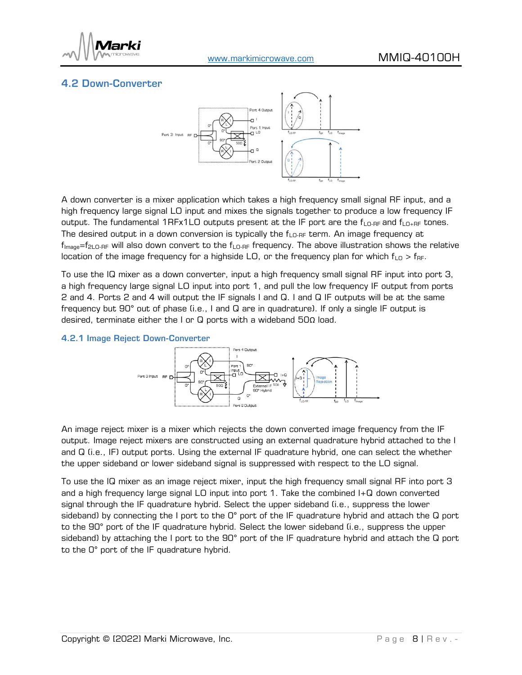

## <span id="page-7-0"></span>4.2 Down-Converter



A down converter is a mixer application which takes a high frequency small signal RF input, and a high frequency large signal LO input and mixes the signals together to produce a low frequency IF output. The fundamental 1RFx1LO outputs present at the IF port are the  $f_{LO-RF}$  and  $f_{LO+RF}$  tones. The desired output in a down conversion is typically the  $f_{\text{LO-RF}}$  term. An image frequency at  $f_{\text{Image}} = f_{2\text{LO-RF}}$  will also down convert to the  $f_{\text{LO-RF}}$  frequency. The above illustration shows the relative location of the image frequency for a highside LO, or the frequency plan for which  $f_{\text{LO}} > f_{\text{RF}}$ .

To use the IQ mixer as a down converter, input a high frequency small signal RF input into port 3, a high frequency large signal LO input into port 1, and pull the low frequency IF output from ports 2 and 4. Ports 2 and 4 will output the IF signals I and Q. I and Q IF outputs will be at the same frequency but 90° out of phase (i.e., I and Q are in quadrature). If only a single IF output is desired, terminate either the I or Q ports with a wideband 50Ω load.

#### 4.2.1 Image Reject Down-Converter



An image reject mixer is a mixer which rejects the down converted image frequency from the IF output. Image reject mixers are constructed using an external quadrature hybrid attached to the I and Q (i.e., IF) output ports. Using the external IF quadrature hybrid, one can select the whether the upper sideband or lower sideband signal is suppressed with respect to the LO signal.

To use the IQ mixer as an image reject mixer, input the high frequency small signal RF into port 3 and a high frequency large signal LO input into port 1. Take the combined I+Q down converted signal through the IF quadrature hybrid. Select the upper sideband (i.e., suppress the lower sideband) by connecting the I port to the O° port of the IF quadrature hybrid and attach the Q port to the 90° port of the IF quadrature hybrid. Select the lower sideband (i.e., suppress the upper sideband) by attaching the I port to the 90° port of the IF quadrature hybrid and attach the Q port to the 0° port of the IF quadrature hybrid.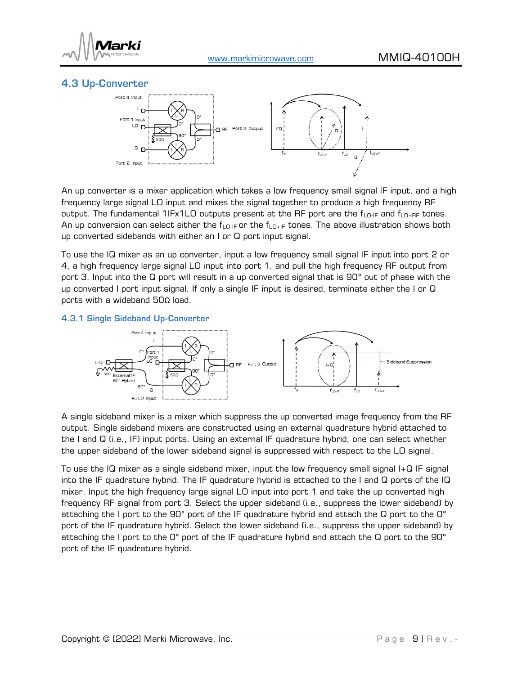

## <span id="page-8-0"></span>4.3 Up-Converter



An up converter is a mixer application which takes a low frequency small signal IF input, and a high frequency large signal LO input and mixes the signal together to produce a high frequency RF output. The fundamental 1IFx1LO outputs present at the RF port are the  $f_{LO-IF}$  and  $f_{LO+RF}$  tones. An up conversion can select either the  $f_{LQ-F}$  or the  $f_{LQ+F}$  tones. The above illustration shows both up converted sidebands with either an I or Q port input signal.

To use the IQ mixer as an up converter, input a low frequency small signal IF input into port 2 or 4, a high frequency large signal LO input into port 1, and pull the high frequency RF output from port 3. Input into the Q port will result in a up converted signal that is 90° out of phase with the up converted I port input signal. If only a single IF input is desired, terminate either the I or Q ports with a wideband 50Ω load.

#### 4.3.1 Single Sideband Up-Converter



A single sideband mixer is a mixer which suppress the up converted image frequency from the RF output. Single sideband mixers are constructed using an external quadrature hybrid attached to the I and Q (i.e., IF) input ports. Using an external IF quadrature hybrid, one can select whether the upper sideband of the lower sideband signal is suppressed with respect to the LO signal.

To use the IQ mixer as a single sideband mixer, input the low frequency small signal I+Q IF signal into the IF quadrature hybrid. The IF quadrature hybrid is attached to the I and Q ports of the IQ mixer. Input the high frequency large signal LO input into port 1 and take the up converted high frequency RF signal from port 3. Select the upper sideband (i.e., suppress the lower sideband) by attaching the I port to the 90° port of the IF quadrature hybrid and attach the Q port to the 0° port of the IF quadrature hybrid. Select the lower sideband (i.e., suppress the upper sideband) by attaching the I port to the 0° port of the IF quadrature hybrid and attach the Q port to the 90° port of the IF quadrature hybrid.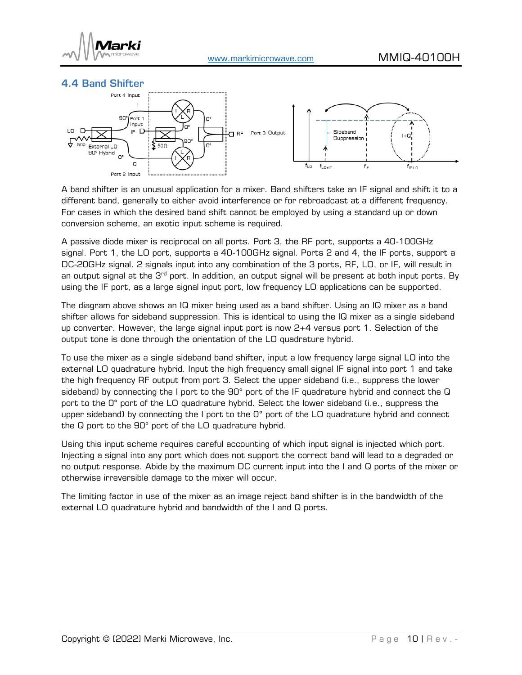

<span id="page-9-0"></span>



A band shifter is an unusual application for a mixer. Band shifters take an IF signal and shift it to a different band, generally to either avoid interference or for rebroadcast at a different frequency. For cases in which the desired band shift cannot be employed by using a standard up or down conversion scheme, an exotic input scheme is required.

A passive diode mixer is reciprocal on all ports. Port 3, the RF port, supports a 40-100GHz signal. Port 1, the LO port, supports a 40-100GHz signal. Ports 2 and 4, the IF ports, support a DC-20GHz signal. 2 signals input into any combination of the 3 ports, RF, LO, or IF, will result in an output signal at the  $3<sup>rd</sup>$  port. In addition, an output signal will be present at both input ports. By using the IF port, as a large signal input port, low frequency LO applications can be supported.

The diagram above shows an IQ mixer being used as a band shifter. Using an IQ mixer as a band shifter allows for sideband suppression. This is identical to using the IQ mixer as a single sideband up converter. However, the large signal input port is now 2+4 versus port 1. Selection of the output tone is done through the orientation of the LO quadrature hybrid.

To use the mixer as a single sideband band shifter, input a low frequency large signal LO into the external LO quadrature hybrid. Input the high frequency small signal IF signal into port 1 and take the high frequency RF output from port 3. Select the upper sideband (i.e., suppress the lower sideband) by connecting the I port to the 90° port of the IF quadrature hybrid and connect the Q port to the 0° port of the LO quadrature hybrid. Select the lower sideband (i.e., suppress the upper sideband) by connecting the I port to the O° port of the LO quadrature hybrid and connect the Q port to the 90° port of the LO quadrature hybrid.

Using this input scheme requires careful accounting of which input signal is injected which port. Injecting a signal into any port which does not support the correct band will lead to a degraded or no output response. Abide by the maximum DC current input into the I and Q ports of the mixer or otherwise irreversible damage to the mixer will occur.

The limiting factor in use of the mixer as an image reject band shifter is in the bandwidth of the external LO quadrature hybrid and bandwidth of the I and Q ports.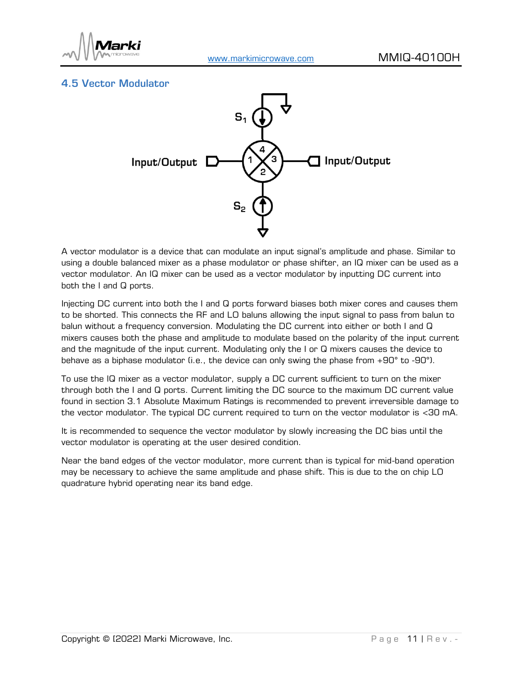

## <span id="page-10-0"></span>4.5 Vector Modulator



A vector modulator is a device that can modulate an input signal's amplitude and phase. Similar to using a double balanced mixer as a phase modulator or phase shifter, an IQ mixer can be used as a vector modulator. An IQ mixer can be used as a vector modulator by inputting DC current into both the I and Q ports.

Injecting DC current into both the I and Q ports forward biases both mixer cores and causes them to be shorted. This connects the RF and LO baluns allowing the input signal to pass from balun to balun without a frequency conversion. Modulating the DC current into either or both I and Q mixers causes both the phase and amplitude to modulate based on the polarity of the input current and the magnitude of the input current. Modulating only the I or Q mixers causes the device to behave as a biphase modulator (i.e., the device can only swing the phase from +90° to -90°).

To use the IQ mixer as a vector modulator, supply a DC current sufficient to turn on the mixer through both the I and Q ports. Current limiting the DC source to the maximum DC current value found in section [3.1 Absolute Maximum Ratings](#page-3-1) is recommended to prevent irreversible damage to the vector modulator. The typical DC current required to turn on the vector modulator is <30 mA.

It is recommended to sequence the vector modulator by slowly increasing the DC bias until the vector modulator is operating at the user desired condition.

Near the band edges of the vector modulator, more current than is typical for mid-band operation may be necessary to achieve the same amplitude and phase shift. This is due to the on chip LO quadrature hybrid operating near its band edge.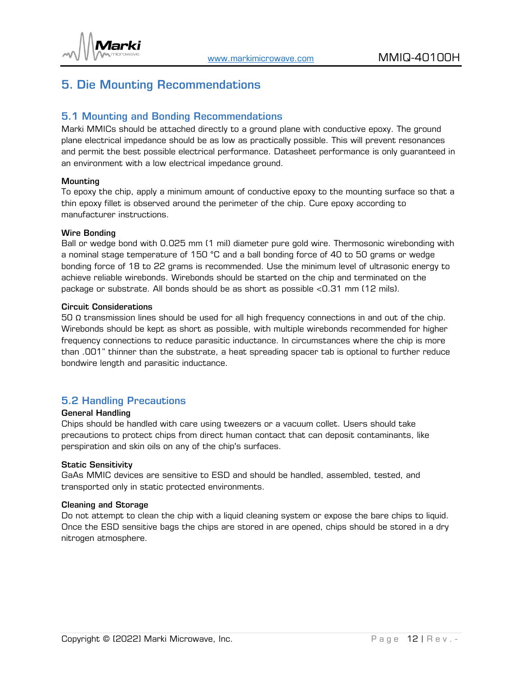

# <span id="page-11-0"></span>5. Die Mounting Recommendations

#### <span id="page-11-1"></span>5.1 Mounting and Bonding Recommendations

Marki MMICs should be attached directly to a ground plane with conductive epoxy. The ground plane electrical impedance should be as low as practically possible. This will prevent resonances and permit the best possible electrical performance. Datasheet performance is only guaranteed in an environment with a low electrical impedance ground.

#### **Mounting**

To epoxy the chip, apply a minimum amount of conductive epoxy to the mounting surface so that a thin epoxy fillet is observed around the perimeter of the chip. Cure epoxy according to manufacturer instructions.

#### Wire Bonding

Ball or wedge bond with 0.025 mm (1 mil) diameter pure gold wire. Thermosonic wirebonding with a nominal stage temperature of 150 °C and a ball bonding force of 40 to 50 grams or wedge bonding force of 18 to 22 grams is recommended. Use the minimum level of ultrasonic energy to achieve reliable wirebonds. Wirebonds should be started on the chip and terminated on the package or substrate. All bonds should be as short as possible <0.31 mm (12 mils).

#### Circuit Considerations

50 Ω transmission lines should be used for all high frequency connections in and out of the chip. Wirebonds should be kept as short as possible, with multiple wirebonds recommended for higher frequency connections to reduce parasitic inductance. In circumstances where the chip is more than .001" thinner than the substrate, a heat spreading spacer tab is optional to further reduce bondwire length and parasitic inductance.

#### <span id="page-11-2"></span>5.2 Handling Precautions

#### General Handling

Chips should be handled with care using tweezers or a vacuum collet. Users should take precautions to protect chips from direct human contact that can deposit contaminants, like perspiration and skin oils on any of the chip's surfaces.

#### Static Sensitivity

GaAs MMIC devices are sensitive to ESD and should be handled, assembled, tested, and transported only in static protected environments.

#### Cleaning and Storage

Do not attempt to clean the chip with a liquid cleaning system or expose the bare chips to liquid. Once the ESD sensitive bags the chips are stored in are opened, chips should be stored in a dry nitrogen atmosphere.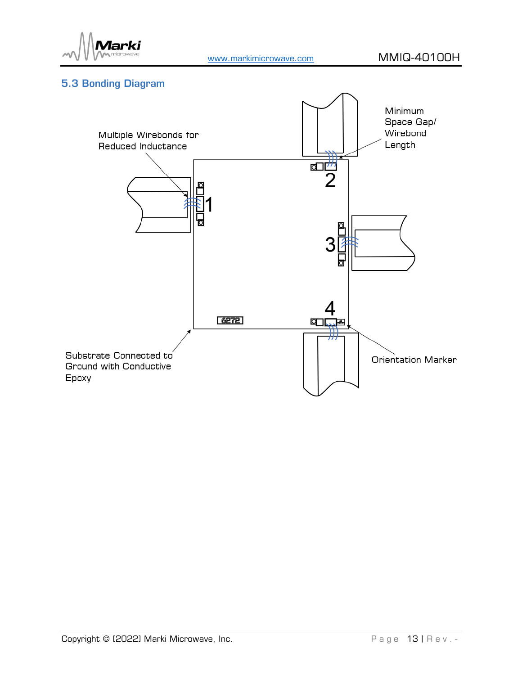

## <span id="page-12-0"></span>5.3 Bonding Diagram